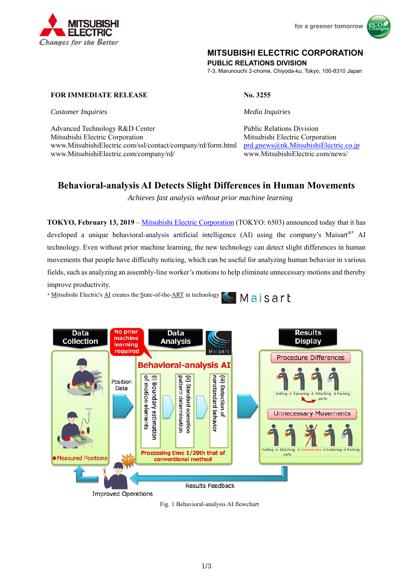



# **MITSUBISHI ELECTRIC CORPORATION**

**PUBLIC RELATIONS DIVISION** 

7-3, Marunouchi 2-chome, Chiyoda-ku, Tokyo, 100-8310 Japan

# **FOR IMMEDIATE RELEASE No. 3255**

*Customer Inquiries Media Inquiries* 

Advanced Technology R&D Center Public Relations Division Mitsubishi Electric Corporation Mitsubishi Electric Corporation www.MitsubishiElectric.com/ssl/contact/company/rd/form.html prd.gnews@nk.MitsubishiElectric.co.jp www.MitsubishiElectric.com/company/rd/ www.MitsubishiElectric.com/news/

# **Behavioral-analysis AI Detects Slight Differences in Human Movements**

*Achieves fast analysis without prior machine learning* 

**TOKYO, February 13, 2019** – Mitsubishi Electric Corporation (TOKYO: 6503) announced today that it has developed a unique behavioral-analysis artificial intelligence (AI) using the company's Maisart®\* AI technology. Even without prior machine learning, the new technology can detect slight differences in human movements that people have difficulty noticing, which can be useful for analyzing human behavior in various fields, such as analyzing an assembly-line worker's motions to help eliminate unnecessary motions and thereby improve productivity.

\* Mitsubishi Electric's AI creates the State-of-the-ART in technology **S** Maisart



Fig. 1 Behavioral-analysis AI flowchart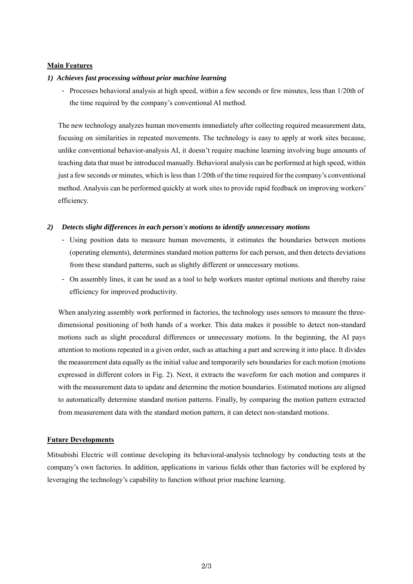# **Main Features**

#### *1) Achieves fast processing without prior machine learning*

- Processes behavioral analysis at high speed, within a few seconds or few minutes, less than 1/20th of the time required by the company's conventional AI method.

The new technology analyzes human movements immediately after collecting required measurement data, focusing on similarities in repeated movements. The technology is easy to apply at work sites because, unlike conventional behavior-analysis AI, it doesn't require machine learning involving huge amounts of teaching data that must be introduced manually. Behavioral analysis can be performed at high speed, within just a few seconds or minutes, which is less than 1/20th of the time required for the company's conventional method. Analysis can be performed quickly at work sites to provide rapid feedback on improving workers' efficiency.

#### *2) Detects slight differences in each person's motions to identify unnecessary motions*

- Using position data to measure human movements, it estimates the boundaries between motions (operating elements), determines standard motion patterns for each person, and then detects deviations from these standard patterns, such as slightly different or unnecessary motions.
- On assembly lines, it can be used as a tool to help workers master optimal motions and thereby raise efficiency for improved productivity.

When analyzing assembly work performed in factories, the technology uses sensors to measure the threedimensional positioning of both hands of a worker. This data makes it possible to detect non-standard motions such as slight procedural differences or unnecessary motions. In the beginning, the AI pays attention to motions repeated in a given order, such as attaching a part and screwing it into place. It divides the measurement data equally as the initial value and temporarily sets boundaries for each motion (motions expressed in different colors in Fig. 2). Next, it extracts the waveform for each motion and compares it with the measurement data to update and determine the motion boundaries. Estimated motions are aligned to automatically determine standard motion patterns. Finally, by comparing the motion pattern extracted from measurement data with the standard motion pattern, it can detect non-standard motions.

#### **Future Developments**

Mitsubishi Electric will continue developing its behavioral-analysis technology by conducting tests at the company's own factories. In addition, applications in various fields other than factories will be explored by leveraging the technology's capability to function without prior machine learning.